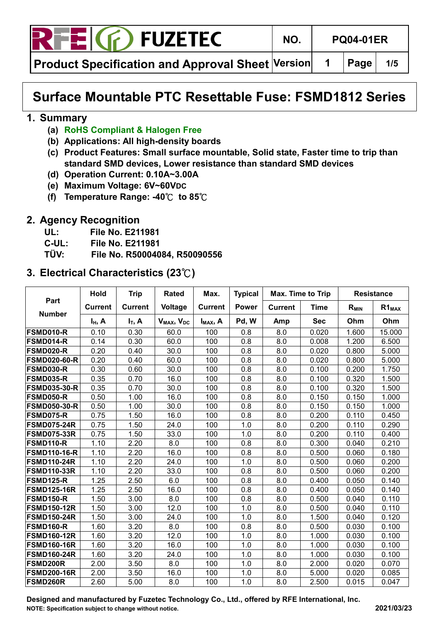

**Product Specification and Approval Sheet Version 1 Page 1/5**

# **Surface Mountable PTC Resettable Fuse: FSMD1812 Series**

#### **1. Summary**

- **(a) RoHS Compliant & Halogen Free**
- **(b) Applications: All high-density boards**
- **(c) Product Features: Small surface mountable, Solid state, Faster time to trip than standard SMD devices, Lower resistance than standard SMD devices**
- **(d) Operation Current: 0.10A~3.00A**
- **(e) Maximum Voltage: 6V~60VDC**
- **(f) Temperature Range: -40**℃ **to 85**℃

#### **2. Agency Recognition**

- **UL: File No. E211981**
- **C-UL: File No. E211981**
- **TÜV: File No. R50004084, R50090556**

#### **3. Electrical Characteristics (23**℃**)**

|                     | Hold               | <b>Trip</b>    | <b>Rated</b>                       | Max.                 | <b>Typical</b> | Max. Time to Trip |             | <b>Resistance</b> |                               |
|---------------------|--------------------|----------------|------------------------------------|----------------------|----------------|-------------------|-------------|-------------------|-------------------------------|
| Part                | <b>Current</b>     | <b>Current</b> | Voltage                            | <b>Current</b>       | Power          | <b>Current</b>    | <b>Time</b> | R <sub>MIN</sub>  | R <sub>1</sub> <sub>MAX</sub> |
| <b>Number</b>       | I <sub>H</sub> , A | $I_T$ , A      | V <sub>MAX</sub> , V <sub>DC</sub> | I <sub>MAX</sub> , A | Pd, W          | Amp               | <b>Sec</b>  | Ohm               | Ohm                           |
| FSMD010-R           | 0.10               | 0.30           | 60.0                               | 100                  | 0.8            | 8.0               | 0.020       | 1.600             | 15.000                        |
| FSMD014-R           | 0.14               | 0.30           | 60.0                               | 100                  | 0.8            | 8.0               | 0.008       | 1.200             | 6.500                         |
| FSMD020-R           | 0.20               | 0.40           | 30.0                               | 100                  | 0.8            | 8.0               | 0.020       | 0.800             | 5.000                         |
| <b>FSMD020-60-R</b> | 0.20               | 0.40           | 60.0                               | 100                  | 0.8            | 8.0               | 0.020       | 0.800             | 5.000                         |
| <b>FSMD030-R</b>    | 0.30               | 0.60           | 30.0                               | 100                  | 0.8            | 8.0               | 0.100       | 0.200             | 1.750                         |
| <b>FSMD035-R</b>    | 0.35               | 0.70           | 16.0                               | 100                  | 0.8            | 8.0               | 0.100       | 0.320             | 1.500                         |
| <b>FSMD035-30-R</b> | 0.35               | 0.70           | 30.0                               | 100                  | 0.8            | 8.0               | 0.100       | 0.320             | 1.500                         |
| <b>FSMD050-R</b>    | 0.50               | 1.00           | 16.0                               | 100                  | 0.8            | 8.0               | 0.150       | 0.150             | 1.000                         |
| <b>FSMD050-30-R</b> | 0.50               | 1.00           | 30.0                               | 100                  | 0.8            | 8.0               | 0.150       | 0.150             | 1.000                         |
| <b>FSMD075-R</b>    | 0.75               | 1.50           | 16.0                               | 100                  | 0.8            | 8.0               | 0.200       | 0.110             | 0.450                         |
| <b>FSMD075-24R</b>  | 0.75               | 1.50           | 24.0                               | 100                  | 1.0            | 8.0               | 0.200       | 0.110             | 0.290                         |
| <b>FSMD075-33R</b>  | 0.75               | 1.50           | 33.0                               | 100                  | 1.0            | 8.0               | 0.200       | 0.110             | 0.400                         |
| <b>FSMD110-R</b>    | 1.10               | 2.20           | 8.0                                | 100                  | 0.8            | 8.0               | 0.300       | 0.040             | 0.210                         |
| <b>FSMD110-16-R</b> | 1.10               | 2.20           | 16.0                               | 100                  | 0.8            | 8.0               | 0.500       | 0.060             | 0.180                         |
| <b>FSMD110-24R</b>  | 1.10               | 2.20           | 24.0                               | 100                  | 1.0            | 8.0               | 0.500       | 0.060             | 0.200                         |
| <b>FSMD110-33R</b>  | 1.10               | 2.20           | 33.0                               | 100                  | 0.8            | 8.0               | 0.500       | 0.060             | 0.200                         |
| <b>FSMD125-R</b>    | 1.25               | 2.50           | 6.0                                | 100                  | 0.8            | 8.0               | 0.400       | 0.050             | 0.140                         |
| <b>FSMD125-16R</b>  | 1.25               | 2.50           | 16.0                               | 100                  | 0.8            | 8.0               | 0.400       | 0.050             | 0.140                         |
| <b>FSMD150-R</b>    | 1.50               | 3.00           | 8.0                                | 100                  | 0.8            | 8.0               | 0.500       | 0.040             | 0.110                         |
| <b>FSMD150-12R</b>  | 1.50               | 3.00           | 12.0                               | 100                  | 1.0            | 8.0               | 0.500       | 0.040             | 0.110                         |
| <b>FSMD150-24R</b>  | 1.50               | 3.00           | 24.0                               | 100                  | 1.0            | 8.0               | 1.500       | 0.040             | 0.120                         |
| <b>FSMD160-R</b>    | 1.60               | 3.20           | 8.0                                | 100                  | 0.8            | 8.0               | 0.500       | 0.030             | 0.100                         |
| <b>FSMD160-12R</b>  | 1.60               | 3.20           | 12.0                               | 100                  | 1.0            | 8.0               | 1.000       | 0.030             | 0.100                         |
| <b>FSMD160-16R</b>  | 1.60               | 3.20           | 16.0                               | 100                  | 1.0            | 8.0               | 1.000       | 0.030             | 0.100                         |
| <b>FSMD160-24R</b>  | 1.60               | 3.20           | 24.0                               | 100                  | 1.0            | 8.0               | 1.000       | 0.030             | 0.100                         |
| <b>FSMD200R</b>     | 2.00               | 3.50           | 8.0                                | 100                  | 1.0            | 8.0               | 2.000       | 0.020             | 0.070                         |
| <b>FSMD200-16R</b>  | 2.00               | 3.50           | 16.0                               | 100                  | 1.0            | 8.0               | 5.000       | 0.020             | 0.085                         |
| <b>FSMD260R</b>     | 2.60               | 5.00           | 8.0                                | 100                  | 1.0            | 8.0               | 2.500       | 0.015             | 0.047                         |

**Designed and manufactured by Fuzetec Technology Co., Ltd., offered by RFE International, Inc. NOTE: Specification subject to change without notice. 2021/03/23**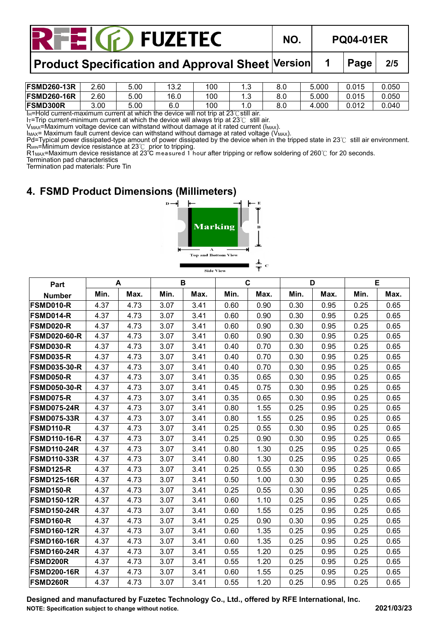# **FUZETEC NO. PQ04-01ER Product Specification and Approval Sheet Version | 1 | Page | 2/5**

| <b>FSMD260-13R</b>   | 2.60 | 5.00 | 10 <sub>0</sub><br>J.Z | 100 | . ب  | 8.0 | .000  | 0.015 | 0.050 |
|----------------------|------|------|------------------------|-----|------|-----|-------|-------|-------|
| <b>FSMD260-16R</b>   | 2.60 | 5.00 | 16.0                   | 100 | ٠    | 8.0 | 5.000 | 0.015 | 0.050 |
| <b>FSMD300R</b><br>. | 3.00 | 5.00 | v.u<br>----            | 100 | ____ | 8.0 | .000  | 0.012 | 0.040 |

I<sub>H</sub>=Hold current-maximum current at which the device will not trip at 23℃still air.

I<sub>T</sub>=Trip current-minimum current at which the device will always trip at 23℃ still air.

V<sub>MAX</sub>=Maximum voltage device can withstand without damage at it rated current (I<sub>MAX</sub>).

 $I_{\text{MAX}}$ = Maximum fault current device can withstand without damage at rated voltage (V $_{\text{MAX}}$ ).

Pd=Typical power dissipated-type amount of power dissipated by the device when in the tripped state in 23℃ still air environment. R<sub>MIN</sub>=Minimum device resistance at 23℃<sub>.</sub> prior to tripping.

R1<sub>MAX</sub>=Maximum device resistance at 23℃ measured 1 hour after tripping or reflow soldering of 260℃ for 20 seconds.

Termination pad characteristics

Termination pad materials: Pure Tin

#### **4. FSMD Product Dimensions (Millimeters)**



| Part                |      | A    | B    |      | C    |      | D    |      | E    |      |
|---------------------|------|------|------|------|------|------|------|------|------|------|
| <b>Number</b>       | Min. | Max. | Min. | Max. | Min. | Max. | Min. | Max. | Min. | Max. |
| FSMD010-R           | 4.37 | 4.73 | 3.07 | 3.41 | 0.60 | 0.90 | 0.30 | 0.95 | 0.25 | 0.65 |
| <b>FSMD014-R</b>    | 4.37 | 4.73 | 3.07 | 3.41 | 0.60 | 0.90 | 0.30 | 0.95 | 0.25 | 0.65 |
| FSMD020-R           | 4.37 | 4.73 | 3.07 | 3.41 | 0.60 | 0.90 | 0.30 | 0.95 | 0.25 | 0.65 |
| <b>FSMD020-60-R</b> | 4.37 | 4.73 | 3.07 | 3.41 | 0.60 | 0.90 | 0.30 | 0.95 | 0.25 | 0.65 |
| <b>FSMD030-R</b>    | 4.37 | 4.73 | 3.07 | 3.41 | 0.40 | 0.70 | 0.30 | 0.95 | 0.25 | 0.65 |
| <b>FSMD035-R</b>    | 4.37 | 4.73 | 3.07 | 3.41 | 0.40 | 0.70 | 0.30 | 0.95 | 0.25 | 0.65 |
| <b>FSMD035-30-R</b> | 4.37 | 4.73 | 3.07 | 3.41 | 0.40 | 0.70 | 0.30 | 0.95 | 0.25 | 0.65 |
| <b>FSMD050-R</b>    | 4.37 | 4.73 | 3.07 | 3.41 | 0.35 | 0.65 | 0.30 | 0.95 | 0.25 | 0.65 |
| <b>FSMD050-30-R</b> | 4.37 | 4.73 | 3.07 | 3.41 | 0.45 | 0.75 | 0.30 | 0.95 | 0.25 | 0.65 |
| <b>FSMD075-R</b>    | 4.37 | 4.73 | 3.07 | 3.41 | 0.35 | 0.65 | 0.30 | 0.95 | 0.25 | 0.65 |
| <b>FSMD075-24R</b>  | 4.37 | 4.73 | 3.07 | 3.41 | 0.80 | 1.55 | 0.25 | 0.95 | 0.25 | 0.65 |
| <b>FSMD075-33R</b>  | 4.37 | 4.73 | 3.07 | 3.41 | 0.80 | 1.55 | 0.25 | 0.95 | 0.25 | 0.65 |
| <b>FSMD110-R</b>    | 4.37 | 4.73 | 3.07 | 3.41 | 0.25 | 0.55 | 0.30 | 0.95 | 0.25 | 0.65 |
| <b>FSMD110-16-R</b> | 4.37 | 4.73 | 3.07 | 3.41 | 0.25 | 0.90 | 0.30 | 0.95 | 0.25 | 0.65 |
| <b>FSMD110-24R</b>  | 4.37 | 4.73 | 3.07 | 3.41 | 0.80 | 1.30 | 0.25 | 0.95 | 0.25 | 0.65 |
| <b>FSMD110-33R</b>  | 4.37 | 4.73 | 3.07 | 3.41 | 0.80 | 1.30 | 0.25 | 0.95 | 0.25 | 0.65 |
| <b>FSMD125-R</b>    | 4.37 | 4.73 | 3.07 | 3.41 | 0.25 | 0.55 | 0.30 | 0.95 | 0.25 | 0.65 |
| <b>FSMD125-16R</b>  | 4.37 | 4.73 | 3.07 | 3.41 | 0.50 | 1.00 | 0.30 | 0.95 | 0.25 | 0.65 |
| <b>FSMD150-R</b>    | 4.37 | 4.73 | 3.07 | 3.41 | 0.25 | 0.55 | 0.30 | 0.95 | 0.25 | 0.65 |
| <b>FSMD150-12R</b>  | 4.37 | 4.73 | 3.07 | 3.41 | 0.60 | 1.10 | 0.25 | 0.95 | 0.25 | 0.65 |
| <b>FSMD150-24R</b>  | 4.37 | 4.73 | 3.07 | 3.41 | 0.60 | 1.55 | 0.25 | 0.95 | 0.25 | 0.65 |
| <b>FSMD160-R</b>    | 4.37 | 4.73 | 3.07 | 3.41 | 0.25 | 0.90 | 0.30 | 0.95 | 0.25 | 0.65 |
| <b>FSMD160-12R</b>  | 4.37 | 4.73 | 3.07 | 3.41 | 0.60 | 1.35 | 0.25 | 0.95 | 0.25 | 0.65 |
| <b>FSMD160-16R</b>  | 4.37 | 4.73 | 3.07 | 3.41 | 0.60 | 1.35 | 0.25 | 0.95 | 0.25 | 0.65 |
| <b>FSMD160-24R</b>  | 4.37 | 4.73 | 3.07 | 3.41 | 0.55 | 1.20 | 0.25 | 0.95 | 0.25 | 0.65 |
| FSMD200R            | 4.37 | 4.73 | 3.07 | 3.41 | 0.55 | 1.20 | 0.25 | 0.95 | 0.25 | 0.65 |
| <b>FSMD200-16R</b>  | 4.37 | 4.73 | 3.07 | 3.41 | 0.60 | 1.55 | 0.25 | 0.95 | 0.25 | 0.65 |
| FSMD260R            | 4.37 | 4.73 | 3.07 | 3.41 | 0.55 | 1.20 | 0.25 | 0.95 | 0.25 | 0.65 |

**Designed and manufactured by Fuzetec Technology Co., Ltd., offered by RFE International, Inc. NOTE: Specification subject to change without notice. 2021/03/23**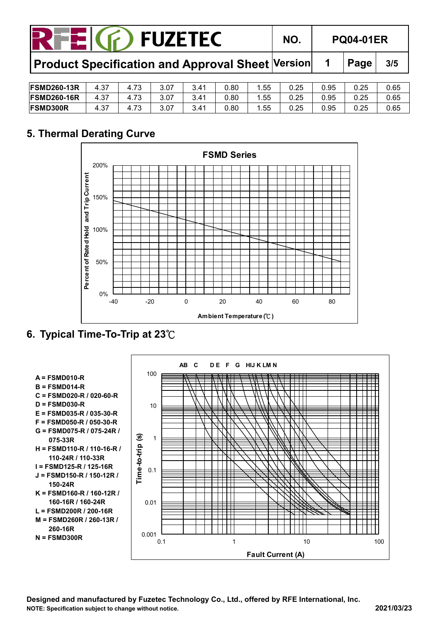| <b>FEI(F)FUZETEC</b>                              |      |      |      |      |      | NO.  |      | <b>PQ04-01ER</b> |      |      |
|---------------------------------------------------|------|------|------|------|------|------|------|------------------|------|------|
| Product Specification and Approval Sheet  Version |      |      |      |      |      |      |      |                  | Page | 3/5  |
| <b>FSMD260-13R</b>                                | 4.37 | 4.73 | 3.07 | 3.41 | 0.80 | 1.55 | 0.25 | 0.95             | 0.25 | 0.65 |
| <b>FSMD260-16R</b>                                | 4.37 | 4.73 | 3.07 | 3.41 | 0.80 | 1.55 | 0.25 | 0.95             | 0.25 | 0.65 |

**FSMD300R** | 4.37 | 4.73 | 3.07 | 3.41 | 0.80 | 1.55 | 0.25 | 0.95 | 0.25 | 0.65

#### **5. Thermal Derating Curve**



**6. Typical Time-To-Trip at 23**℃

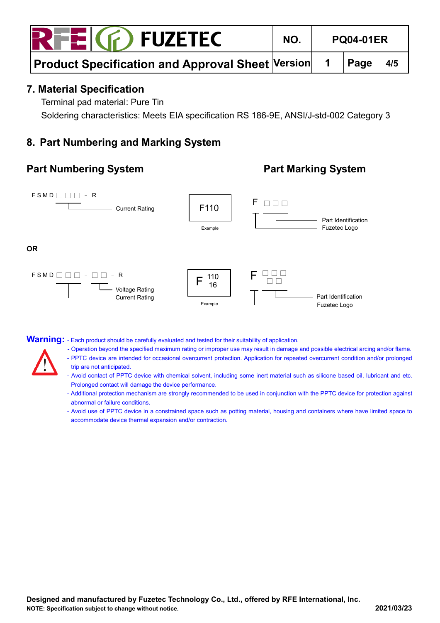| <b>FUZETEC</b> | NO. | <b>PQ04-01ER</b> |
|----------------|-----|------------------|
|                |     |                  |

**Product Specification and Approval Sheet Version | 1 | Page | 4/5** 

#### **7. Material Specification**

Terminal pad material: Pure Tin

Soldering characteristics: Meets EIA specification RS 186-9E, ANSI/J-std-002 Category 3

### **8. Part Numbering and Marking System**

## **Part Numbering System Constrainer Part Marking System**



Warning: - Each product should be carefully evaluated and tested for their suitability of application.

- Operation beyond the specified maximum rating or improper use may result in damage and possible electrical arcing and/or flame.
- PPTC device are intended for occasional overcurrent protection. Application for repeated overcurrent condition and/or prolonged trip are not anticipated.
- Avoid contact of PPTC device with chemical solvent, including some inert material such as silicone based oil, lubricant and etc. Prolonged contact will damage the device performance.
- Additional protection mechanism are strongly recommended to be used in conjunction with the PPTC device for protection against abnormal or failure conditions.
- Avoid use of PPTC device in a constrained space such as potting material, housing and containers where have limited space to accommodate device thermal expansion and/or contraction.